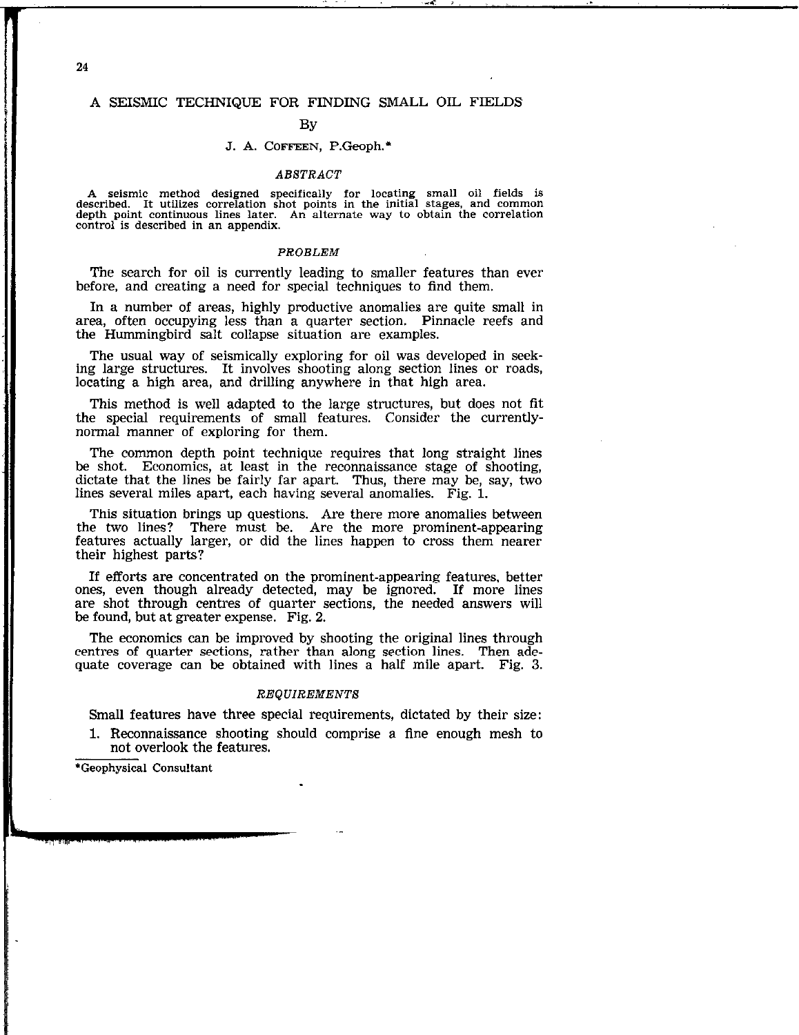# 24

## A SEISMIC TECHNIQUE FOR FINDING SMALL OIL FIELDS

## **By**

## J. A. COFFEEN, P.Geoph.\*

### ABSTRACT

A seismic method designed specifically for locating small oil fields is described. It utilizes correlation shot points in the initial stages, and common depth point continuous lines later. An alternate way to obtain the correlation control is described in an appendix.

#### PROBLEM

The search for oil is currently leading to smaller features than ever before, and creating a need for special techniques to find them.

In a number of areas, highly productive anomalies are quite small in area, often occupying less than a quarter section. Pinnacle reefs and the Hummingbird salt collapse situation are examples.

The usual way of seismically exploring for oil was developed in seeking large structures. It involves shooting along section lines or roads, locating a high area, and drilling anywhere in that high area.

This method is well adapted to the large structures, but does not fit the special requirements of small features. Consider the currentlynormal manner of exploring for them.

The common depth point technique requires that long straight lines be shot. Economics, at least in the reconnaissance stage of shooting, dictate that the lines be fairly far apart. Thus, there may be, say, two lines several miles apart, each having several anomalies. Fig. 1.

This situation brings up questions. Are there more anomalies between the two lines? There must be. Are the more prominent-appearing features actually larger, or did the lines happen to cross them nearer their highest parts?

If efforts are concentrated on the prominent-appearing features, better ones, even though already detected, may be ignored. If more lines are shot through centres of quarter sections, the needed answers will be found, but at greater expense. Fig. 2.

The economics can be improved by shooting the original lines through centres of quarter sections, rather than along section lines. Then adequate coverage can be obtained with lines a half mile apart. Fig. 3.

### REQUIREMENTS

Small features have three special requirements, dictated by their size:

1. Reconnaissance shooting should comprise a fine enough mesh to not overlook the features.

'Geophysical Consultant

I

I<br>I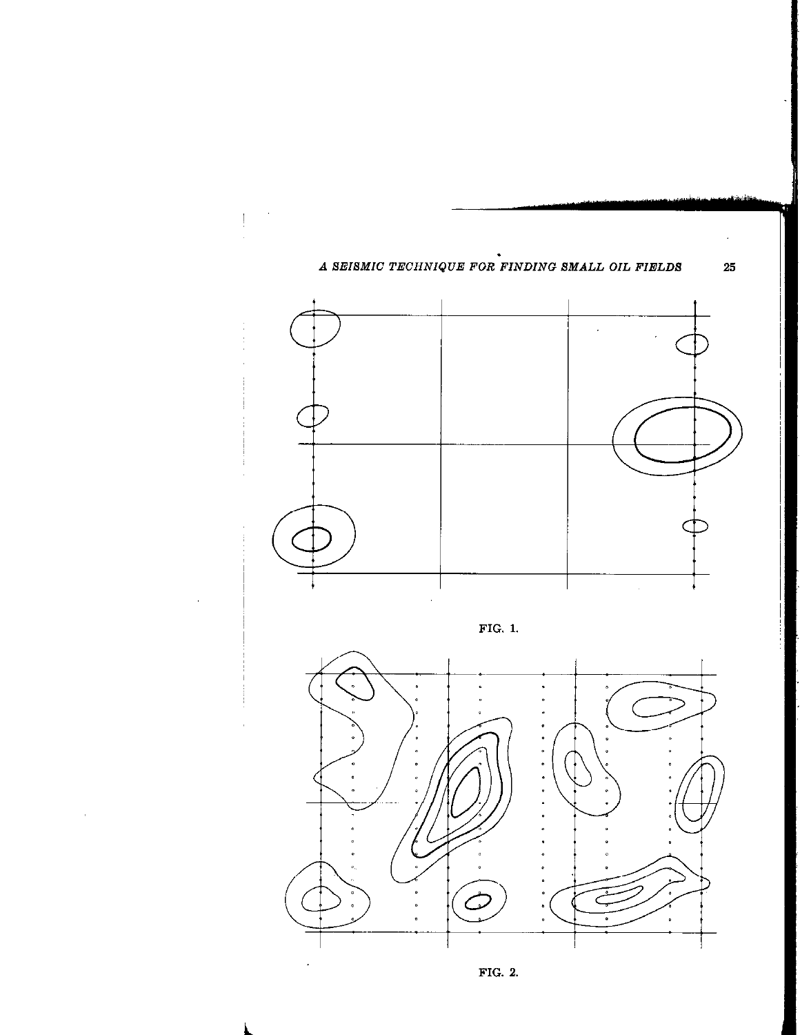

 $\hat{\boldsymbol{r}}$ 

FIG. 2.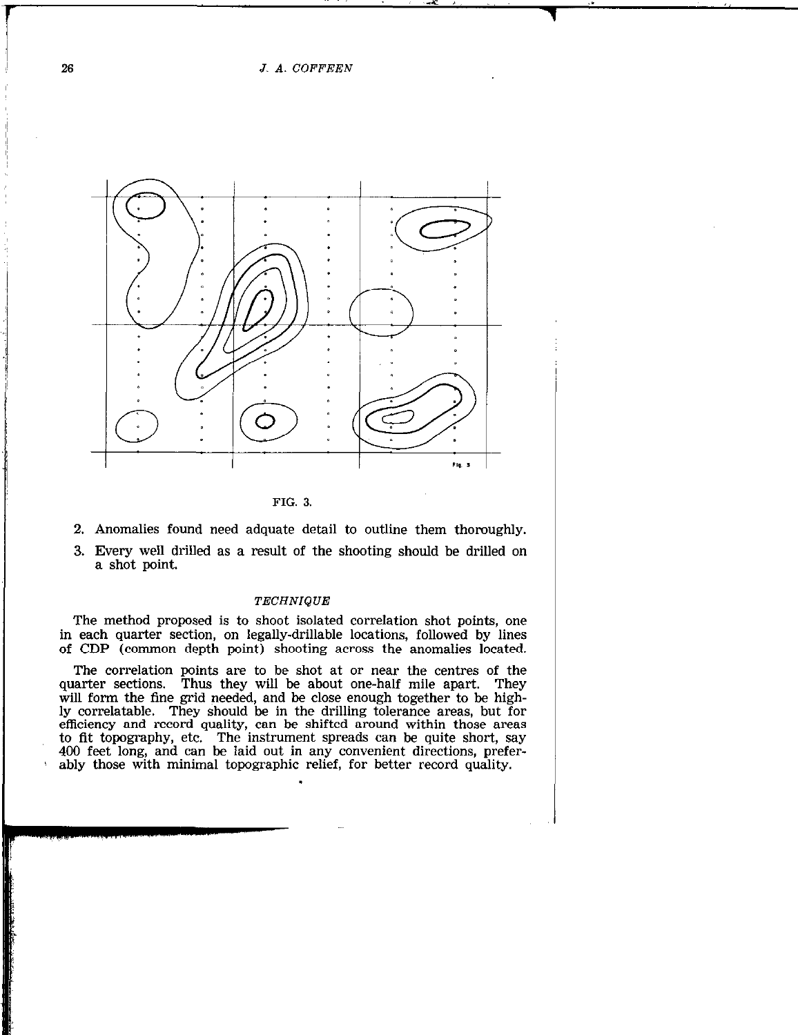26 J. A. COFFEEN



FIG. 3.

- 2. Anomalies found need adquate detail to outline them thoroughly.
- 3. Every well drilled as a result of the shooting should be drilled on a shot point.

## TECHNIQUE

The method proposed is to shoot isolated correlation shot points, one in each quarter section, on legally-drillable locations, followed by lines of CDP (common depth point) shooting across the anomalies located.

The correlation points are to be shot at or near the centres of the quarter sections. Thus they will be about one-half mile apart. They will form the fine grid needed, and be close enough together to be highly correlatable. They should be in the drilling tolerance areas, but for efficiency and record quality, can be shifted around within those areas to fit topography, etc. The instrument spreads can be quite short, say 400 feet long, and can be laid out in any convenient directions, preferably those with minimal topographic relief, for better record quality.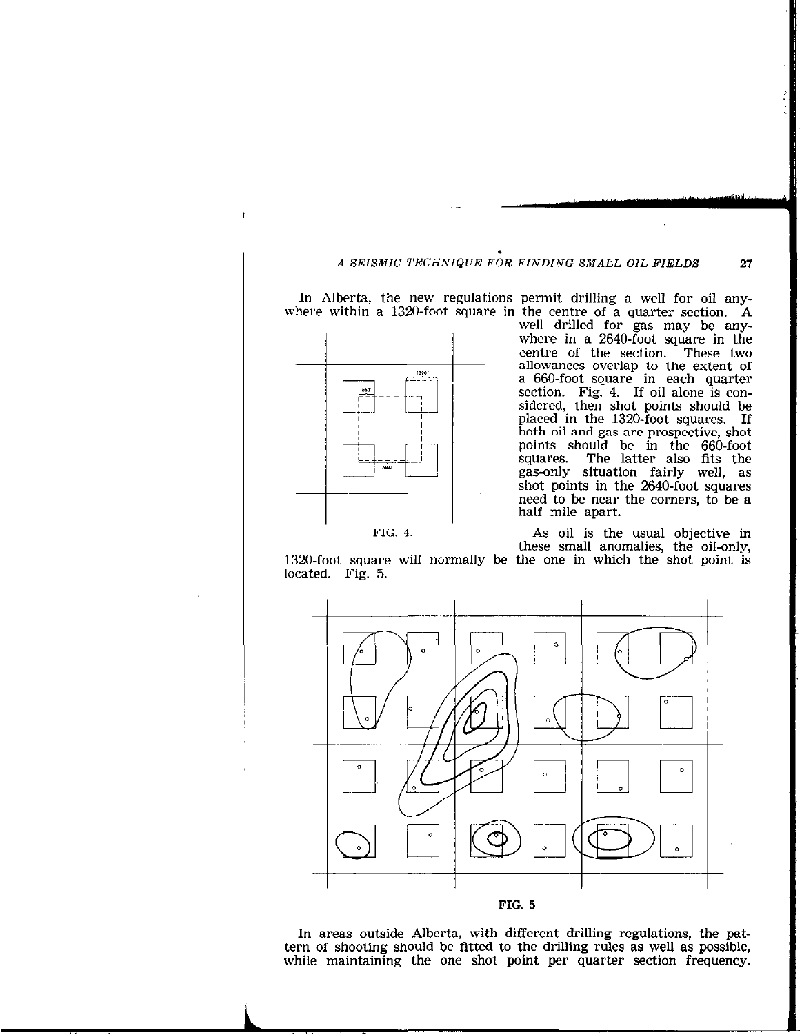## A SEISMIC TECHNIQUE FOR FINDING SMALL, OIL FIELDS 27

In Alberta, the new regulations permit drilling a well for oil anywhere within a 1320-foot square in the centre of a quarter section. A



well drilled for gas may be anywhere in a 2640-foot square in the centre of the section. These two centre of the section. allowances overlap to the extent of a 660-foot square in each quarter section. Fig. 4. If oil alone is considered, then shot points should be placed in the 1320-foot squares. If both oil and gas are prospective, shot points should be in the 660-foot The latter also fits the gas-only situation fairly well, as shot points in the 2640-foot squares need to be near the corners, to'be a half mile apart.

FIG. 4. As oil is the usual objective in these small anomalies, the oil-only,

1320-foot square will normally be the one in which the shot point is located. Fig. 5.



In areas outside Alberta, with different drilling regulations, the pattern of shooting should be fitted to the drilling rules as well as possible, while maintaining the one shot point per quarter section frequency.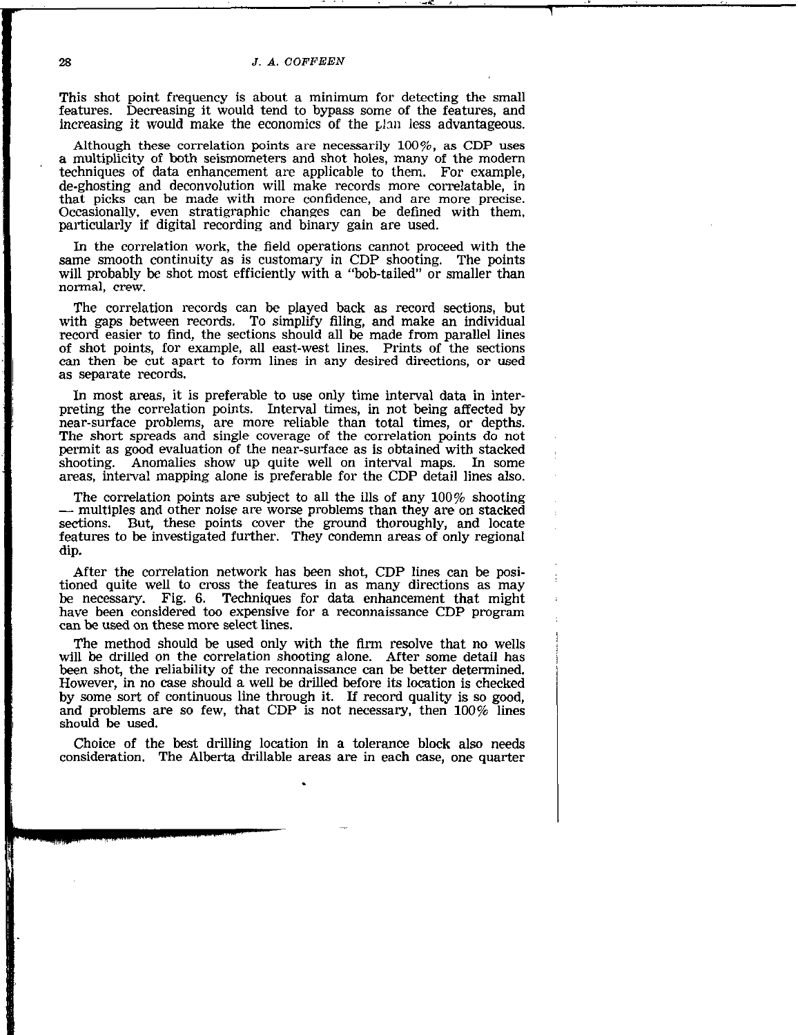#### 28 J.A. COFFEEN

This shot point frequency is about a minimum for detecting the small features. Decreasing it would tend to bypass some of the features, and increasing it would make the economics of the plan less advantageous.

Although these correlation points are necessarily  $100\%$ , as CDP uses a multiplicity of both seismometers and shot holes, many of the modern techniques of data enhancement are applicable to them. For example, de-ghosting and deconvolution will make records more correlatable, in that picks can be made with more confidence, and are more precise. Occasionally, even stratigraphic changes can be defined with them, particularly if digital recording and binary gain are used.

In the correlation work, the field operations cannot proceed with the same smooth continuity as is customary in CDP shooting. The points will probably be shot most efficiently with a "bob-tailed" or smaller than normal, crew.

The correlation records can be played back as record sections, but with gaps between records. To simplify filing, and make an individual record easier to find, the sections should all be made from parallel lines of shot points, for example, all east-west lines. Prints of the sections can then be cut apart to form lines in any desired directions, or used as separate records.

In most areas, it is preferable to use only time interval data in interpreting the correlation points. Interval times, in not being affected by near-surface problems, are more reliable than total times, or depths. The short spreads and single coverage of the correlation points do not permit as good evaluation of the near-surface as is obtained with stacked shooting. Anomalies show up quite well on interval maps. In some Anomalies show up quite well on interval maps. In some areas, interval mapping alone is preferable for the CDP detail lines also.

The correlation points are subject to all the ills of any 100% shooting - multiples and other noise are worse problems than they are on stacked sections. But, these points cover the ground thoroughly, and locate features to be investigated further. They condemn areas of only regional dip.

After the correlation network has been shot, CDP lines can be positioned quite well to cross the features in as many directions as may be necessary. Fig. 6. Techniques for data enhancement that might have been considered too expensive for a reconnaissance CDP program can be used on these more select lines.

The method should be used only with the firm resolve that no wells will be drilled on the correlation shooting alone. After some detail has been shot, the reliability of the reconnaissance can be better determined. However, in no case should a well be drilled before its location is checked by some sort of continuous line through it. If record quality is so good, and problems are so few, that CDP is not necessary, then  $100\%$  lines should be used.

Choice of the best drilling location in a tolerance block also needs consideration. The Alberta drillable areas are in each case, one quarter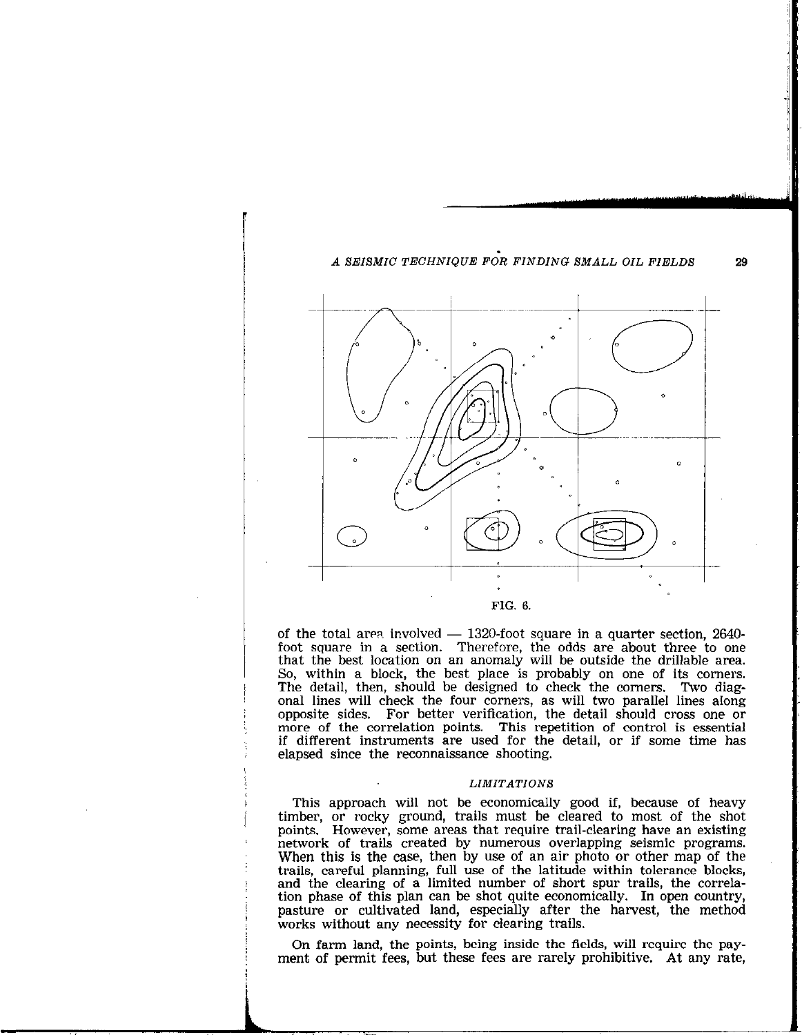

FIG. 6.

of the total area involved  $-$  1320-foot square in a quarter section, 2640foot square in a section. Therefore, the odds are about three to one that the best location on an anomaly will be outside the drillable area. So, within a block, the best place is probably on one of its corners. The detail, then, should be designed to check the corners. Two diagonal lines will check the four corners, as will two parallel lines along opposite sides. For better verification, the detail should cross one or more of the correlation points. This repetition of control is essential if different instruments are used for the detail, or if some time has elapsed since the reconnaissance shooting.

#### **LIMITATIONS**

This approach will not be economically good if, because of heavy timber, or rocky ground, trails must be cleared to most of the shot points. However, some areas that require trail-clearing have an existing network of trails created by numerous overlapping seismic programs. When this is the case, then by use of an air photo or other map of the trails, careful planning, full use of the latitude within tolerance blocks, and the clearing of a limited number of short spur trails, the correlation phase of this plan can be shot quite economically. In open country, pasture or cultivated land, especially after the harvest, the method works without any necessity for clearing trails.

On farm land, the points, being inside the fields, will require the payment of permit fees, but these fees are rarely prohibitive. At any rate,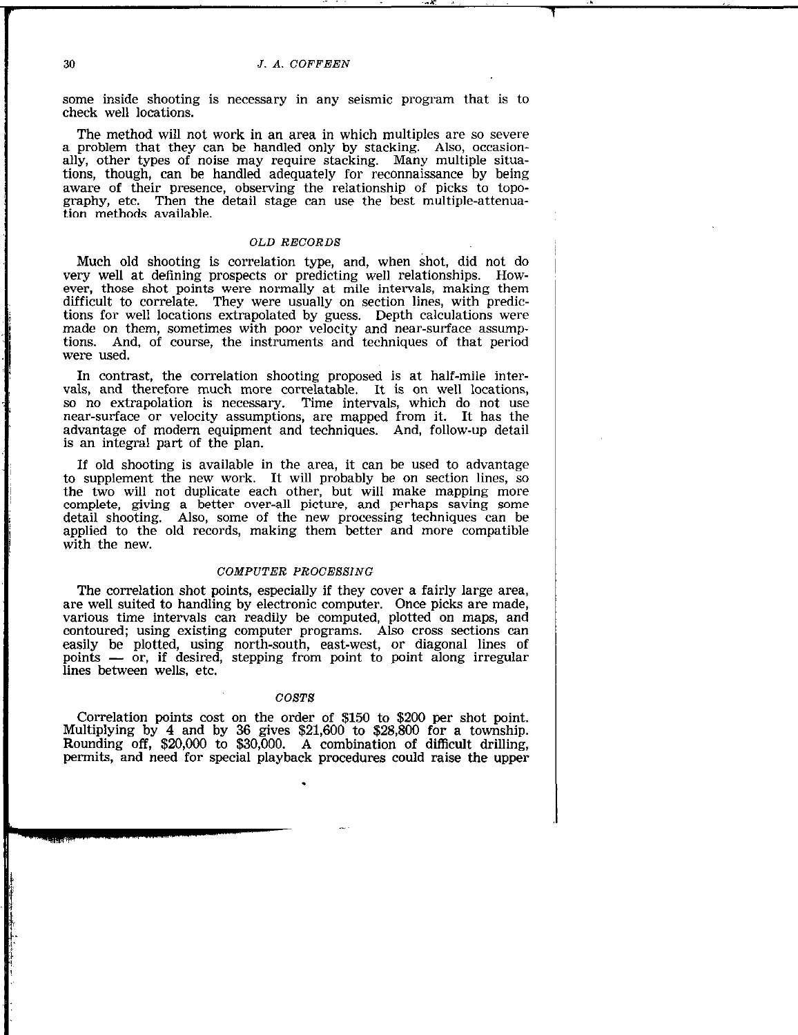## 30 *J. A. COFFEEN*

some inside shooting is necessary in any seismic program that is to check well locations.

The method will not work in an area in which multiples are so severe a problem that they can be handled only by stacking. Also, occasionally, other types of noise may require stacking. Many multiple situations, though, can be handled adequately for reconnaissance by being aware of their presence, observing the relationship of picks to topography, etc. Then the detail stage can use the best multiple-attenuation methods available.

## OLD RECORDS

Much old shooting is correlation type, and, when shot, did not do very well at defining prospects or predicting well relationships. However, those shot points were normally at mile intervals, making them difficult to correlate. They were usually on section lines, with predictions for well locations extrapolated by guess. Depth calculations were made on them, sometimes with poor velocity and near-surface assumptions. And, of course, the instruments and techniques of that period were used.

In contrast, the correlation shooting proposed is at half-mile intervals, and therefore much more correlatable. It is on well locations, so no extrapolation is necessary. Time intervals, which do not use near-surface or velocity assumptions, are mapped from it. It has the advantage of modern equipment and techniques. And, follow-up detail is an integral part of the plan.

If old shooting is available in the area, it can be used to advantage to supplement the new work. It will probably be on section lines, so the two will not duplicate each other, but will make mapping more complete, giving a better over-all picture, and perhaps saving some detail shooting. Also, some of the new processing techniques can be applied to the old records, making them better and more compatible with the new.

## COMPUTER PROGEBSING

The correlation shot points, especially if they cover a fairly large area, are well suited to handling by electronic computer. Once picks are made, various time intervals can readily be computed, plotted on maps, and contoured; using existing computer programs. Also cross sections can easily be plotted, using north-south, east-west, or diagonal lines of points  $-$  or, if desired, stepping from point to point along irregular lines between wells, etc.

## COST<sub>S</sub>

Correlation points cost on the order of \$150 to \$200 per shot point. Multiplying by 4 and by 36 gives \$21,600 to \$28,800 for a township. Rounding off, \$20,000 to \$30,000. A combination of difficult drilling, permits, and need for special playback procedures could raise the upper

-,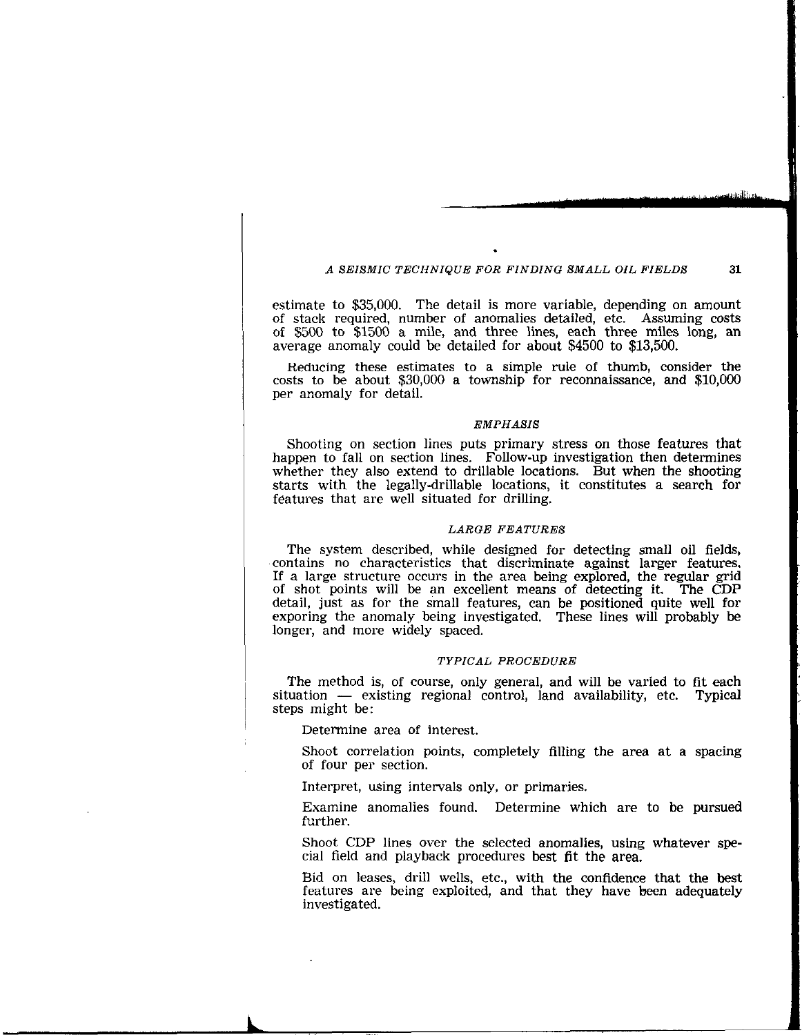## A SEISMIC TECHNIQUE FOR FINDING SMALL OIL FIELDS 31

estimate to \$35,000. The detail is more variable, depending on amount of stack required, number of anomalies detailed, etc. Assuming costs of \$500 to \$1500 a mile, and three lines, each three miles long, an average anomaly could be detailed for about \$4500 to \$13,500.

Reducing these estimates to a simple rule of thumb, consider the costs to be about \$30,000 a township for reconnaissance, and \$10,000 per anomaly for detail.

#### EMPHASIS

Shooting on section lines puts primary stress on those features that happen to fall on section lines. Follow-up investigation then determines whether they also extend to drillable locations. But when the shooting starts with the legally-drillable locations, it constitutes a search for features that are well situated for drilling.

#### LARGE FEATURES

The system described, while designed for detecting small oil fields, contains no characteristics that discriminate against larger features. If a large structure occurs in the area being explored, the regular grid of shot points will be an excellent means of detecting it. The CDP detail, just as for the small features, can be positioned quite well for exporing the anomaly being investigated. These lines will probably be longer, and more widely spaced.

### TYPICAL PROCEDURE

The method is, of course, only general, and will be varied to fit each  $situation$   $-$  existing regional control, land availability, etc. Typical steps might be:

Determine area of interest.

Shoot correlation points, completely filling the area at a spacing of four per section.

Interpret, using intervals only, or primaries.

Examine anomalies found. Determine which are to be pursued further.

Shoot CDP lines over the selected anomalies, using whatever special field and playback procedures best fit the area.

Bid on leases, drill wells, etc., with the confidence that the best features are being exploited, and that they have been adequately investigated.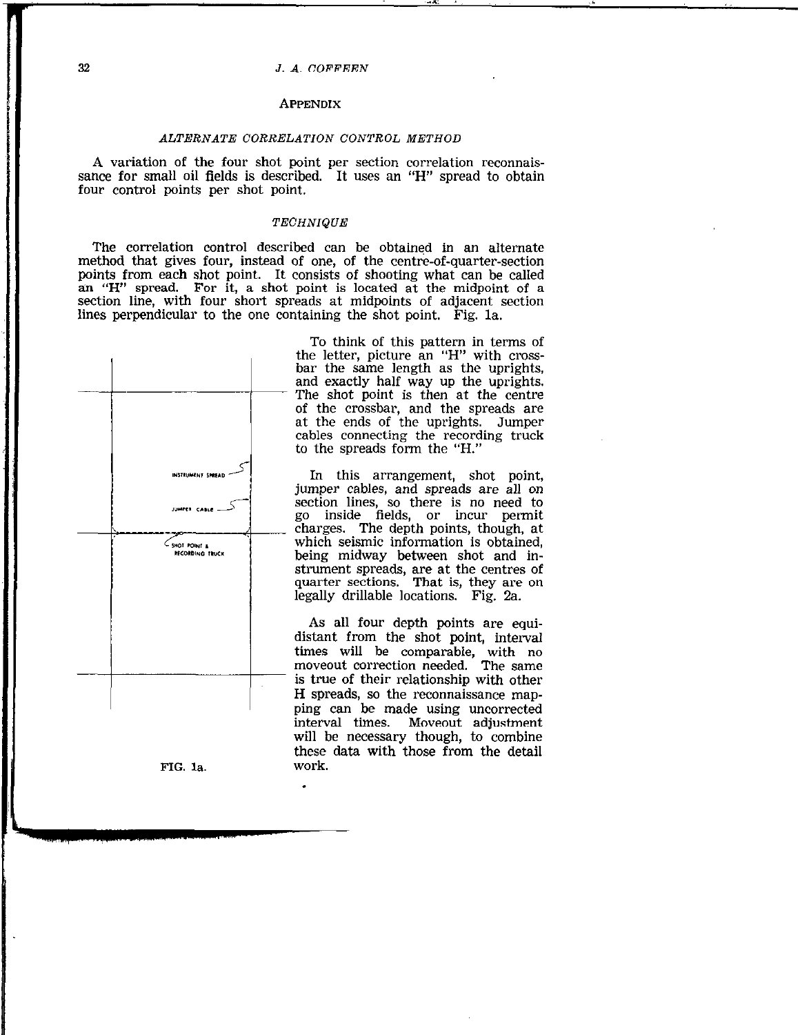#### 32 J. A.COFFEEN

#### APPENDIX

## ALTERNATE CORRELATION CONTROL METHOD

A variation of the four shot point per section correlation reconnaissance for small oil fields is described. It uses an "H" spread to obtain four control points per shot point.

## TECHNIQUE

The correlation control described can be obtained in an alternate method that gives four, instead of one, of the centre-of-quarter-section points from each shot point. It consists of shooting what can be called an "H" spread. For it, a shot point is located at the midpoint of a section line, with four short spreads at midpoints of ad'acent section lines perpendicular to the one containing the shot point. Eig. la.



FIG. la work.

To think of this pattern in terms of the letter, picture an "H" with crossbar the same length as the uprights, and exactly half way up the uprights. The shot point is then at the centre of the crossbar, and the spreads are at the ends of the uprights. Jumper cables connecting the recording truck to the spreads form the "H."

In this arrangement, shot point, jumper cables, and spreads are all on section lines, so there is no need to go inside fields, or incur permit charges. The depth points, though, at which seismic information is obtained, being midway between shot and instrument spreads, are at the centres of quarter sections. That is, they are on legally drillable locations. Fig. 2a.

As all four depth points are equidistant from the shot point, interval times will be comparable, with no moveout correction needed. The same is true of their relationship with other H spreads, so the reconnaissance mapping can be made using uncorrected interval times. Moveout adjustment will be necessary though, to combine these data with those from the detail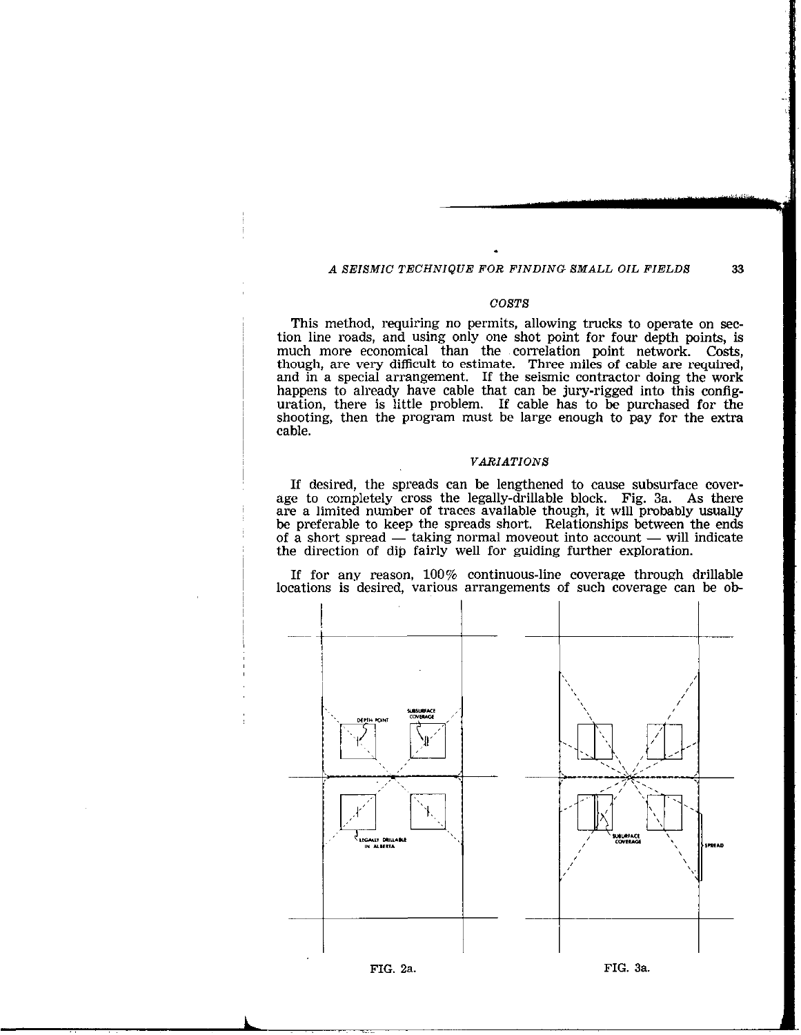## A SEISMIC TECHNIQUE FOR FINDING SMALL OIL FIELDS 33

#### COSTS

This method, requiring no permits, allowing trucks to operate on section line roads, and using only one shot point for four depth points, is much more economical than the xorrelation point network. Costs, though, are very difficult to estimate. Three miles of cable are required, and in a special arrangement. If the seismic contractor doing the work happens to already have cable that can be jury-rigged into this configuration, there is little problem. If cable has to be purchased for the shooting, then the program must be large enough to pay for the extra cable.

## VARIATIONS

If desired, the spreads can be lengthened to cause subsurface coverage to completely cross the legally-drillable block. Fig. 3a. As there are a limited number of traces available though, it will probably usually be preferable to keep the spreads short. Relationships between the ends of a short spread  $-$  taking normal moveout into account  $-$  will indicate the direction of dip fairly well for guiding further exploration.

If for any reason, 100% continuous-line coverage through drillable locations is desired, various arrangements of such coverage can be ob-